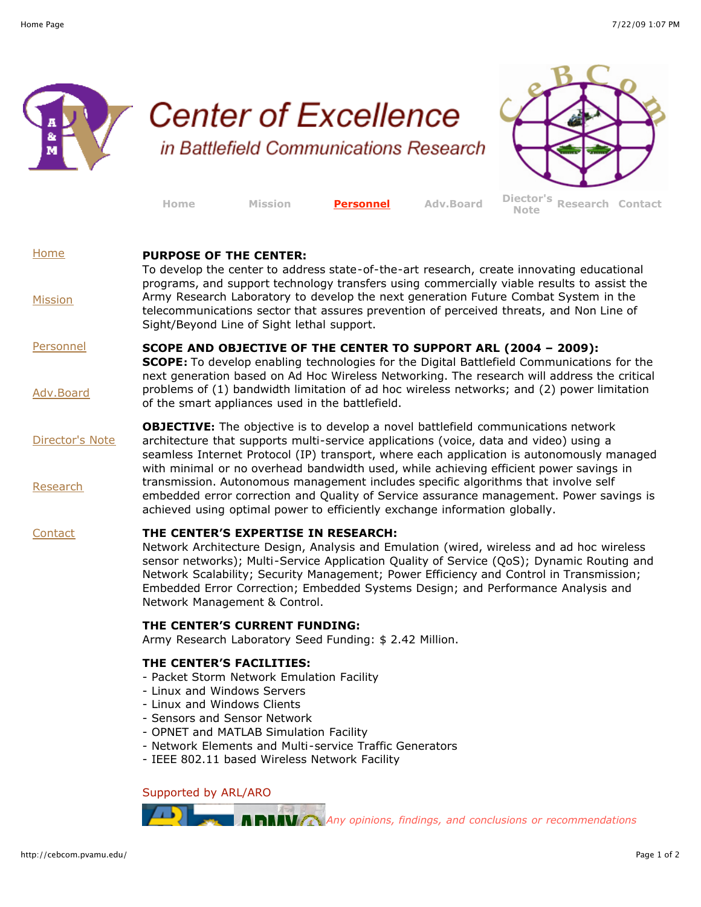

http://cebcom.pvamu.edu/ Page 1 of 2